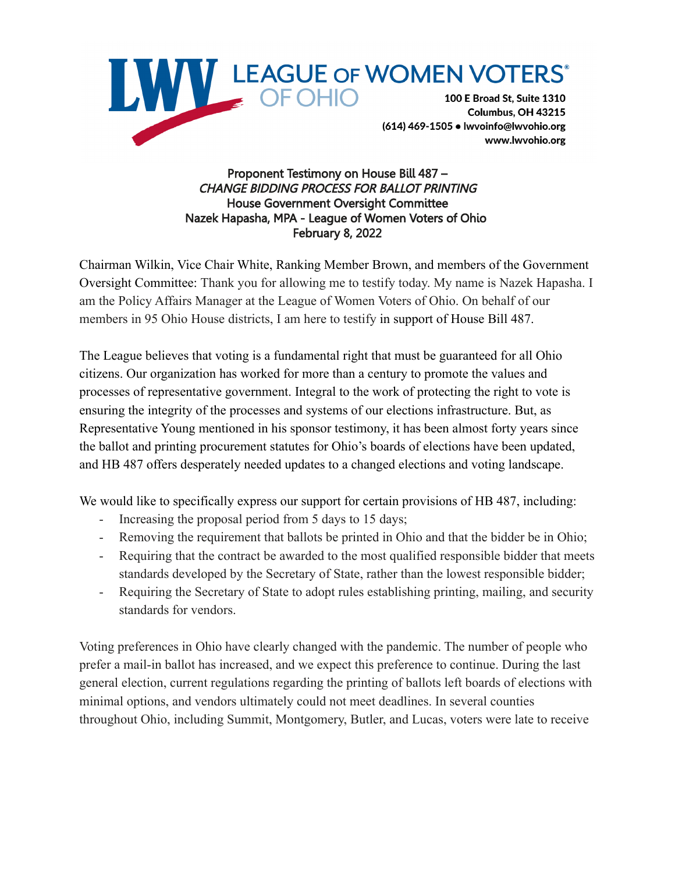

Proponent Testimony on House Bill 487 – CHANGE BIDDING PROCESS FOR BALLOT PRINTING House Government Oversight Committee Nazek Hapasha, MPA - League of Women Voters of Ohio February 8, 2022

Chairman Wilkin, Vice Chair White, Ranking Member Brown, and members of the Government Oversight Committee: Thank you for allowing me to testify today. My name is Nazek Hapasha. I am the Policy Affairs Manager at the League of Women Voters of Ohio. On behalf of our members in 95 Ohio House districts, I am here to testify in support of House Bill 487.

The League believes that voting is a fundamental right that must be guaranteed for all Ohio citizens. Our organization has worked for more than a century to promote the values and processes of representative government. Integral to the work of protecting the right to vote is ensuring the integrity of the processes and systems of our elections infrastructure. But, as Representative Young mentioned in his sponsor testimony, it has been almost forty years since the ballot and printing procurement statutes for Ohio's boards of elections have been updated, and HB 487 offers desperately needed updates to a changed elections and voting landscape.

We would like to specifically express our support for certain provisions of HB 487, including:

- Increasing the proposal period from 5 days to 15 days;
- Removing the requirement that ballots be printed in Ohio and that the bidder be in Ohio;
- Requiring that the contract be awarded to the most qualified responsible bidder that meets standards developed by the Secretary of State, rather than the lowest responsible bidder;
- Requiring the Secretary of State to adopt rules establishing printing, mailing, and security standards for vendors.

Voting preferences in Ohio have clearly changed with the pandemic. The number of people who prefer a mail-in ballot has increased, and we expect this preference to continue. During the last general election, current regulations regarding the printing of ballots left boards of elections with minimal options, and vendors ultimately could not meet deadlines. In several counties throughout Ohio, including Summit, Montgomery, Butler, and Lucas, voters were late to receive